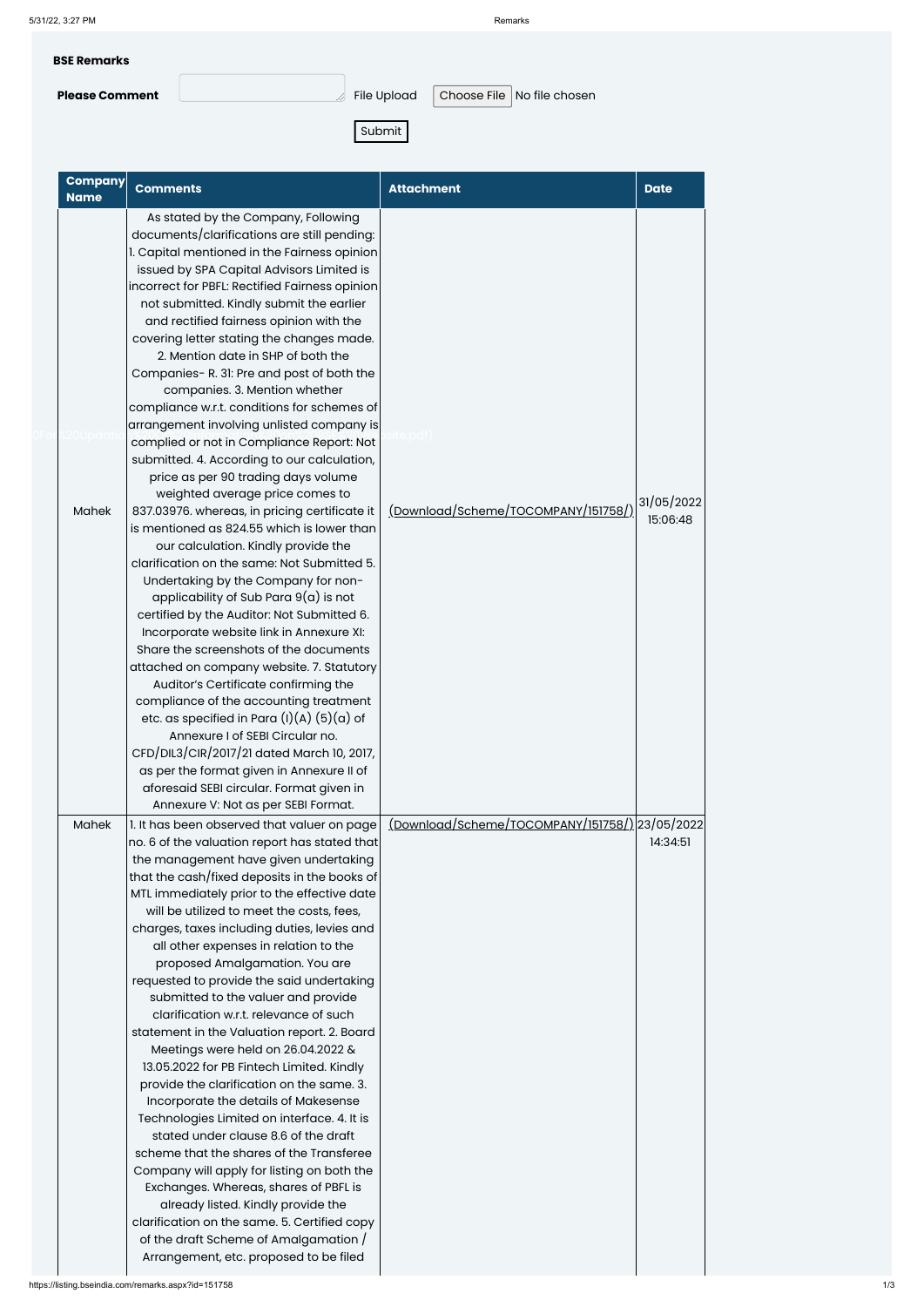5/31/22, 3:27 PM Remarks

**BSE Remarks Please Comment Exercise Comment** File Upload Choose File No file chosen

Submit

| <b>Company</b><br><b>Name</b> | <b>Comments</b>                                                                                                                                                                                                                                                                                                                                                                                                                                                                                                                                                                                                                                                                                                                                                                                                                                                                                                                                                                                                                                                                                                                                                                                                                                                                                                                                                                                                                                                                                                                    | <b>Attachment</b>                                     | <b>Date</b>            |
|-------------------------------|------------------------------------------------------------------------------------------------------------------------------------------------------------------------------------------------------------------------------------------------------------------------------------------------------------------------------------------------------------------------------------------------------------------------------------------------------------------------------------------------------------------------------------------------------------------------------------------------------------------------------------------------------------------------------------------------------------------------------------------------------------------------------------------------------------------------------------------------------------------------------------------------------------------------------------------------------------------------------------------------------------------------------------------------------------------------------------------------------------------------------------------------------------------------------------------------------------------------------------------------------------------------------------------------------------------------------------------------------------------------------------------------------------------------------------------------------------------------------------------------------------------------------------|-------------------------------------------------------|------------------------|
| <b>Mahek</b>                  | As stated by the Company, Following<br>documents/clarifications are still pending:<br>1. Capital mentioned in the Fairness opinion<br>issued by SPA Capital Advisors Limited is<br>incorrect for PBFL: Rectified Fairness opinion<br>not submitted. Kindly submit the earlier<br>and rectified fairness opinion with the<br>covering letter stating the changes made.<br>2. Mention date in SHP of both the<br>Companies- R. 31: Pre and post of both the<br>companies. 3. Mention whether<br>compliance w.r.t. conditions for schemes of<br>arrangement involving unlisted company is<br>complied or not in Compliance Report: Not<br>submitted. 4. According to our calculation,<br>price as per 90 trading days volume<br>weighted average price comes to<br>837.03976. whereas, in pricing certificate it<br>is mentioned as 824.55 which is lower than<br>our calculation. Kindly provide the<br>clarification on the same: Not Submitted 5.<br>Undertaking by the Company for non-<br>applicability of Sub Para $9(a)$ is not<br>certified by the Auditor: Not Submitted 6.<br>Incorporate website link in Annexure XI:<br>Share the screenshots of the documents<br>attached on company website. 7. Statutory<br>Auditor's Certificate confirming the<br>compliance of the accounting treatment<br>etc. as specified in Para $(l)(A)$ $(5)(a)$ of<br>Annexure I of SEBI Circular no.<br>CFD/DIL3/CIR/2017/21 dated March 10, 2017,<br>as per the format given in Annexure II of<br>aforesaid SEBI circular. Format given in | (Download/Scheme/TOCOMPANY/151758/)                   | 31/05/2022<br>15:06:48 |
| <b>Mahek</b>                  | Annexure V: Not as per SEBI Format.<br>1. It has been observed that valuer on page<br>no. 6 of the valuation report has stated that                                                                                                                                                                                                                                                                                                                                                                                                                                                                                                                                                                                                                                                                                                                                                                                                                                                                                                                                                                                                                                                                                                                                                                                                                                                                                                                                                                                                | <u>(Download/Scheme/TOCOMPANY/151758/)</u> 23/05/2022 | 14:34:51               |
|                               | the management have given undertaking<br>that the cash/fixed deposits in the books of<br>MTL immediately prior to the effective date<br>will be utilized to meet the costs, fees,<br>charges, taxes including duties, levies and<br>all other expenses in relation to the<br>proposed Amalgamation. You are<br>requested to provide the said undertaking                                                                                                                                                                                                                                                                                                                                                                                                                                                                                                                                                                                                                                                                                                                                                                                                                                                                                                                                                                                                                                                                                                                                                                           |                                                       |                        |

submitted to the valuer and provide clarification w.r.t. relevance of such statement in the Valuation report. 2. Board Meetings were held on 26.04.2022 & 13.05.2022 for PB Fintech Limited. Kindly provide the clarification on the same. 3. Incorporate the details of Makesense Technologies Limited on interface. 4. It is stated under clause 8.6 of the draft scheme that the shares of the Transferee Company will apply for listing on both the Exchanges. Whereas, shares of PBFL is already listed. Kindly provide the clarification on the same. 5. Certified copy of the draft Scheme of Amalgamation / Arrangement, etc. proposed to be filed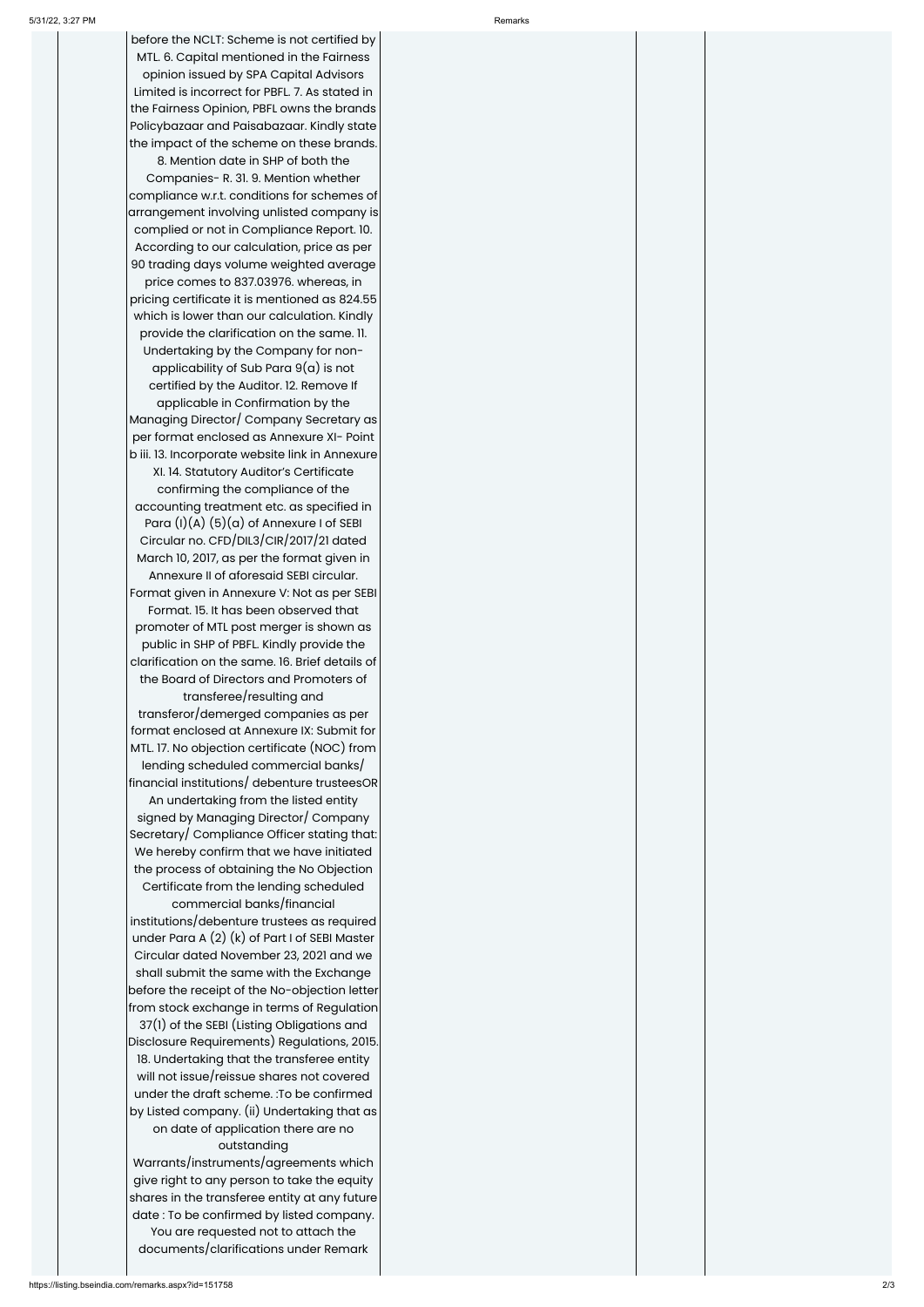before the NCLT: Scheme is not certified by MTL. 6. Capital mentioned in the Fairness opinion issued by SPA Capital Advisors Limited is incorrect for PBFL. 7. As stated in the Fairness Opinion, PBFL owns the brands Policybazaar and Paisabazaar. Kindly state the impact of the scheme on these brands.

8. Mention date in SHP of both the Companies- R. 31. 9. Mention whether compliance w.r.t. conditions for schemes of arrangement involving unlisted company is complied or not in Compliance Report. 10. According to our calculation, price as per 90 trading days volume weighted average price comes to 837.03976. whereas, in pricing certificate it is mentioned as 824.55 which is lower than our calculation. Kindly provide the clarification on the same. 11. Undertaking by the Company for non applicability of Sub Para  $9(a)$  is not certified by the Auditor. 12. Remove If applicable in Confirmation by the Managing Director/ Company Secretary as per format enclosed as Annexure XI- Point b iii. 13. Incorporate website link in Annexure XI. 14. Statutory Auditor's Certificate confirming the compliance of the accounting treatment etc. as specified in Para (I)(A) (5)(a) of Annexure I of SEBI Circular no. CFD/DIL3/CIR/2017/21 dated March 10, 2017, as per the format given in Annexure II of aforesaid SEBI circular. Format given in Annexure V: Not as per SEBI Format. 15. It has been observed that promoter of MTL post merger is shown as public in SHP of PBFL. Kindly provide the clarification on the same. 16. Brief details of the Board of Directors and Promoters of transferee/resulting and transferor/demerged companies as per format enclosed at Annexure IX: Submit for MTL. 17. No objection certificate (NOC) from | lending scheduled commercial banks/ financial institutions/ debenture trusteesOR

An undertaking from the listed entity signed by Managing Director/ Company Secretary/ Compliance Officer stating that: We hereby confirm that we have initiated the process of obtaining the No Objection Certificate from the lending scheduled commercial banks/financial

institutions/debenture trustees as required under Para A (2) (k) of Part I of SEBI Master Circular dated November 23, 2021 and we shall submit the same with the Exchange before the receipt of the No-objection letter from stock exchange in terms of Regulation 37(1) of the SEBI (Listing Obligations and Disclosure Requirements) Regulations, 2015. 18. Undertaking that the transferee entity will not issue/reissue shares not covered under the draft scheme. :To be confirmed by Listed company. (ii) Undertaking that as on date of application there are no outstanding Warrants/instruments/agreements which give right to any person to take the equity shares in the transferee entity at any future date : To be confirmed by listed company. You are requested not to attach the documents/clarifications under Remark